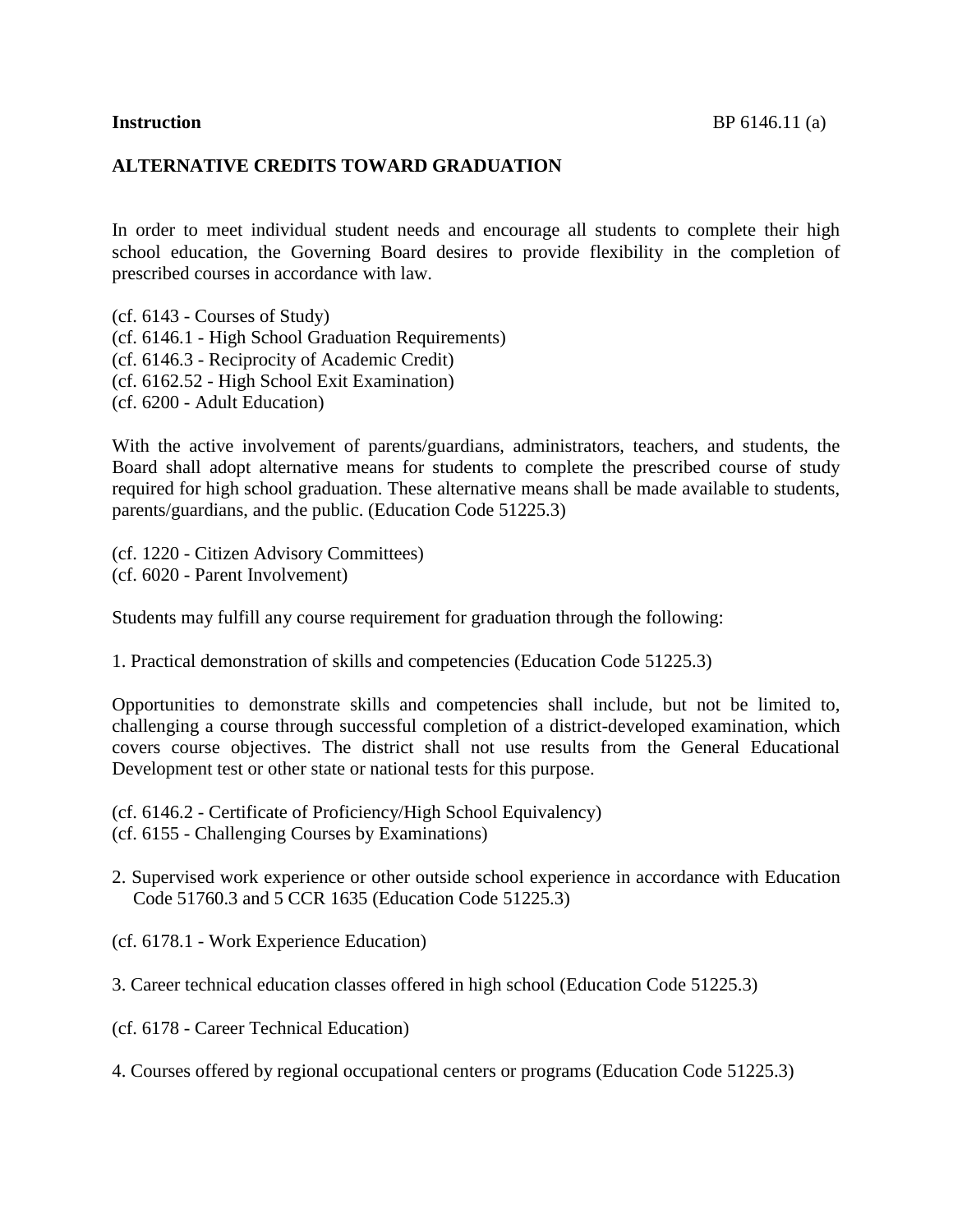#### **ALTERNATIVE CREDITS TOWARD GRADUATION**

In order to meet individual student needs and encourage all students to complete their high school education, the Governing Board desires to provide flexibility in the completion of prescribed courses in accordance with law.

(cf. [6143](http://www.gamutonline.net/displayPolicy/292826/6) - Courses of Study) (cf. [6146.1](http://www.gamutonline.net/displayPolicy/352667/6) - High School Graduation Requirements) (cf. [6146.3](http://www.gamutonline.net/displayPolicy/222841/6) - Reciprocity of Academic Credit) (cf. [6162.52](http://www.gamutonline.net/displayPolicy/252678/6) - High School Exit Examination) (cf. [6200](http://www.gamutonline.net/displayPolicy/171737/6) - Adult Education)

With the active involvement of parents/guardians, administrators, teachers, and students, the Board shall adopt alternative means for students to complete the prescribed course of study required for high school graduation. These alternative means shall be made available to students, parents/guardians, and the public. (Education Code [51225.3\)](http://www.gamutonline.net/displayPolicy/132675/6)

(cf. [1220](http://www.gamutonline.net/displayPolicy/170624/6) - Citizen Advisory Committees) (cf. [6020](http://www.gamutonline.net/displayPolicy/171184/6) - Parent Involvement)

Students may fulfill any course requirement for graduation through the following:

1. Practical demonstration of skills and competencies (Education Code [51225.3\)](http://www.gamutonline.net/displayPolicy/132675/6)

Opportunities to demonstrate skills and competencies shall include, but not be limited to, challenging a course through successful completion of a district-developed examination, which covers course objectives. The district shall not use results from the General Educational Development test or other state or national tests for this purpose.

(cf. [6146.2](http://www.gamutonline.net/displayPolicy/292827/6) - Certificate of Proficiency/High School Equivalency) (cf. [6155](http://www.gamutonline.net/displayPolicy/171585/6) - Challenging Courses by Examinations)

2. Supervised work experience or other outside school experience in accordance with Education Code [51760.3](http://www.gamutonline.net/displayPolicy/132751/6) and 5 CCR [1635](http://www.gamutonline.net/displayPolicy/186878/6) (Education Code [51225.3\)](http://www.gamutonline.net/displayPolicy/132675/6)

(cf. [6178.1](http://www.gamutonline.net/displayPolicy/222847/6) - Work Experience Education)

3. Career technical education classes offered in high school (Education Code [51225.3\)](http://www.gamutonline.net/displayPolicy/132675/6)

(cf. [6178](http://www.gamutonline.net/displayPolicy/211110/6) - Career Technical Education)

4. Courses offered by regional occupational centers or programs (Education Code [51225.3\)](http://www.gamutonline.net/displayPolicy/132675/6)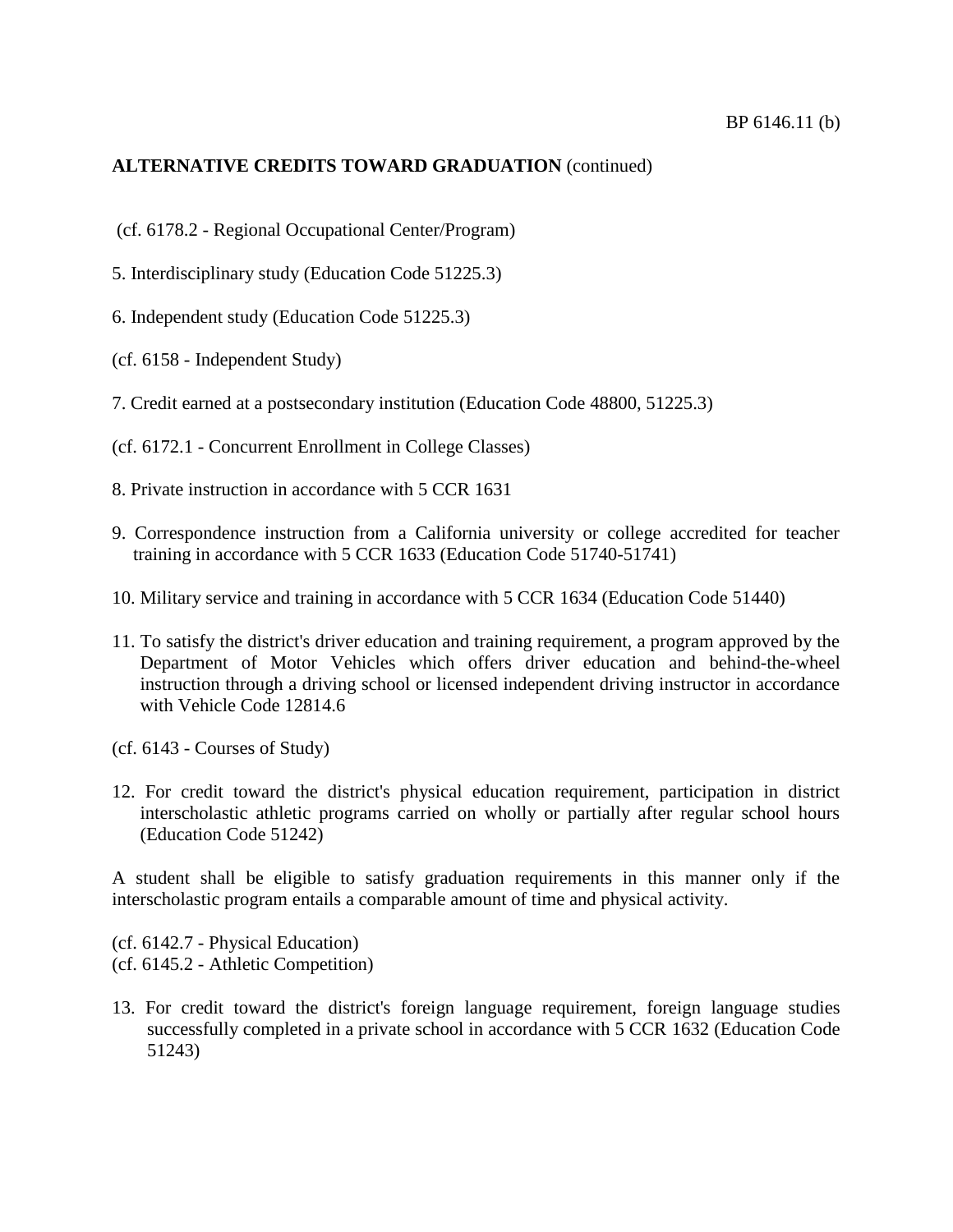- (cf. [6178.2](http://www.gamutonline.net/displayPolicy/500011/6) Regional Occupational Center/Program)
- 5. Interdisciplinary study (Education Code [51225.3\)](http://www.gamutonline.net/displayPolicy/132675/6)
- 6. Independent study (Education Code [51225.3\)](http://www.gamutonline.net/displayPolicy/132675/6)
- (cf. [6158](http://www.gamutonline.net/displayPolicy/171587/6) Independent Study)
- 7. Credit earned at a postsecondary institution (Education Code [48800,](http://www.gamutonline.net/displayPolicy/132216/6) [51225.3\)](http://www.gamutonline.net/displayPolicy/132675/6)
- (cf. [6172.1](http://www.gamutonline.net/displayPolicy/500009/6) Concurrent Enrollment in College Classes)
- 8. Private instruction in accordance with 5 CCR [1631](http://www.gamutonline.net/displayPolicy/186874/6)
- 9. Correspondence instruction from a California university or college accredited for teacher training in accordance with 5 CCR [1633](http://www.gamutonline.net/displayPolicy/186876/6) (Education Code [51740](http://www.gamutonline.net/displayPolicy/132739/6)[-51741\)](http://www.gamutonline.net/displayPolicy/132740/6)
- 10. Military service and training in accordance with 5 CCR [1634](http://www.gamutonline.net/displayPolicy/186877/6) (Education Code [51440\)](http://www.gamutonline.net/displayPolicy/132717/6)
- 11. To satisfy the district's driver education and training requirement, a program approved by the Department of Motor Vehicles which offers driver education and behind-the-wheel instruction through a driving school or licensed independent driving instructor in accordance with Vehicle Code [12814.6](http://www.gamutonline.net/displayPolicy/192195/6)
- (cf. [6143](http://www.gamutonline.net/displayPolicy/292826/6) Courses of Study)
- 12. For credit toward the district's physical education requirement, participation in district interscholastic athletic programs carried on wholly or partially after regular school hours (Education Code [51242\)](http://www.gamutonline.net/displayPolicy/132687/6)

A student shall be eligible to satisfy graduation requirements in this manner only if the interscholastic program entails a comparable amount of time and physical activity.

(cf. [6142.7](http://www.gamutonline.net/displayPolicy/292823/6) - Physical Education) (cf. [6145.2](http://www.gamutonline.net/displayPolicy/171496/6) - Athletic Competition)

13. For credit toward the district's foreign language requirement, foreign language studies successfully completed in a private school in accordance with 5 CCR [1632](http://www.gamutonline.net/displayPolicy/186875/6) (Education Code [51243\)](http://www.gamutonline.net/displayPolicy/132688/6)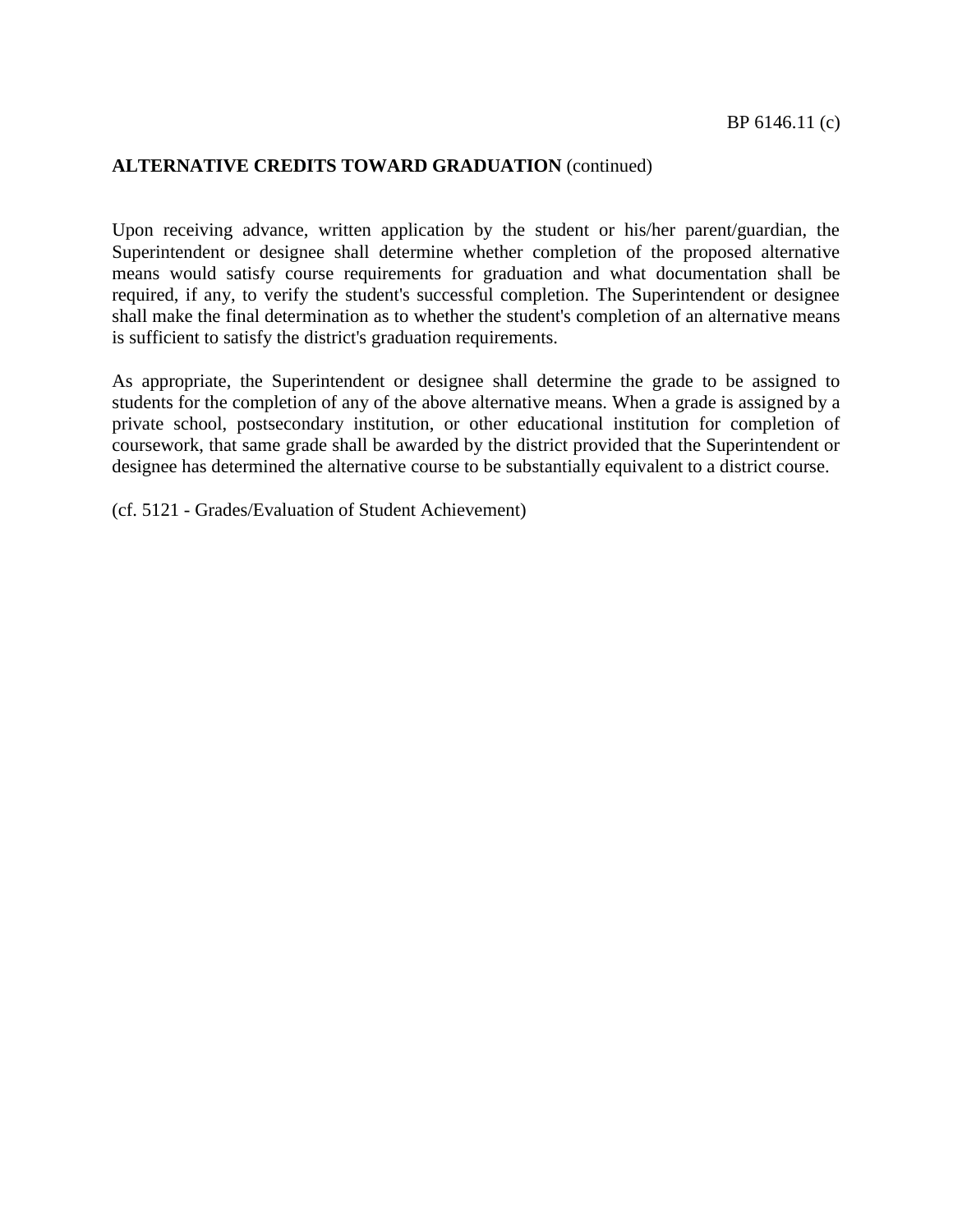Upon receiving advance, written application by the student or his/her parent/guardian, the Superintendent or designee shall determine whether completion of the proposed alternative means would satisfy course requirements for graduation and what documentation shall be required, if any, to verify the student's successful completion. The Superintendent or designee shall make the final determination as to whether the student's completion of an alternative means is sufficient to satisfy the district's graduation requirements.

As appropriate, the Superintendent or designee shall determine the grade to be assigned to students for the completion of any of the above alternative means. When a grade is assigned by a private school, postsecondary institution, or other educational institution for completion of coursework, that same grade shall be awarded by the district provided that the Superintendent or designee has determined the alternative course to be substantially equivalent to a district course.

(cf. [5121](http://www.gamutonline.net/displayPolicy/315743/6) - Grades/Evaluation of Student Achievement)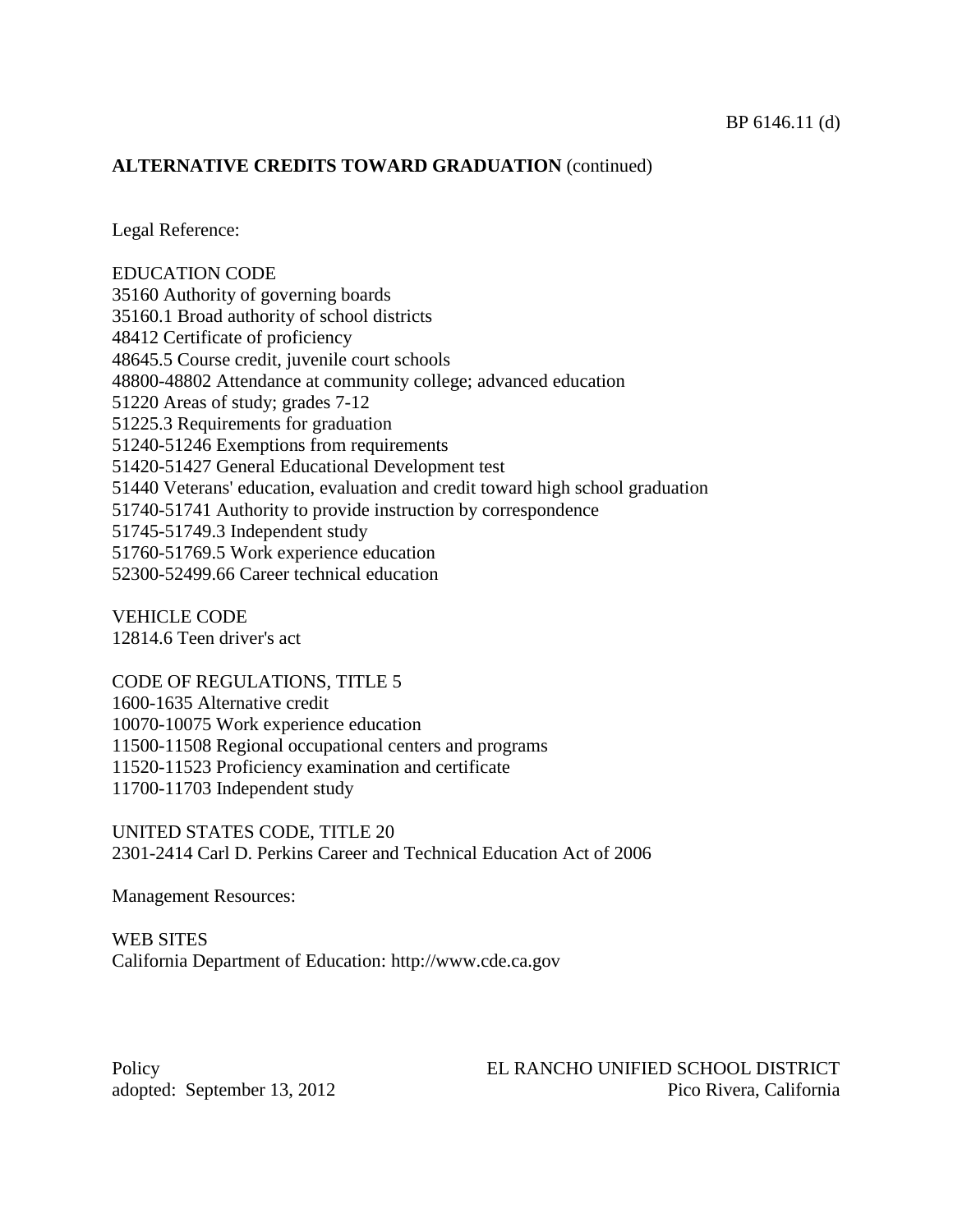Legal Reference:

EDUCATION CODE Authority of governing boards [35160.1](http://www.gamutonline.net/displayPolicy/131398/6) Broad authority of school districts Certificate of proficiency [48645.5](http://www.gamutonline.net/displayPolicy/132211/6) Course credit, juvenile court schools [-48802](http://www.gamutonline.net/displayPolicy/132219/6) Attendance at community college; advanced education Areas of study; grades 7-12 [51225.3](http://www.gamutonline.net/displayPolicy/132675/6) Requirements for graduation [-51246](http://www.gamutonline.net/displayPolicy/132691/6) Exemptions from requirements [-51427](http://www.gamutonline.net/displayPolicy/132716/6) General Educational Development test Veterans' education, evaluation and credit toward high school graduation [-51741](http://www.gamutonline.net/displayPolicy/132740/6) Authority to provide instruction by correspondence [-51749.3](http://www.gamutonline.net/displayPolicy/132746/6) Independent study [-51769.5](http://www.gamutonline.net/displayPolicy/132761/6) Work experience education [-52499.66](http://www.gamutonline.net/displayPolicy/460588/6) Career technical education

VEHICLE CODE [12814.6](http://www.gamutonline.net/displayPolicy/192195/6) Teen driver's act

CODE OF REGULATIONS, TITLE 5 [-1635](http://www.gamutonline.net/displayPolicy/186878/6) Alternative credit [-10075](http://www.gamutonline.net/displayPolicy/187112/6) Work experience education [-11508](http://www.gamutonline.net/displayPolicy/187187/6) Regional occupational centers and programs [-11523](http://www.gamutonline.net/displayPolicy/187191/6) Proficiency examination and certificate [-11703](http://www.gamutonline.net/displayPolicy/189603/6) Independent study

UNITED STATES CODE, TITLE 20 [2301](http://www.gamutonline.net/displayPolicy/241112/6)[-2414](http://www.gamutonline.net/displayPolicy/227668/6) Carl D. Perkins Career and Technical Education Act of 2006

Management Resources:

WEB SITES California Department of Education: [http://www.cde.ca.gov](http://www.cde.ca.gov/)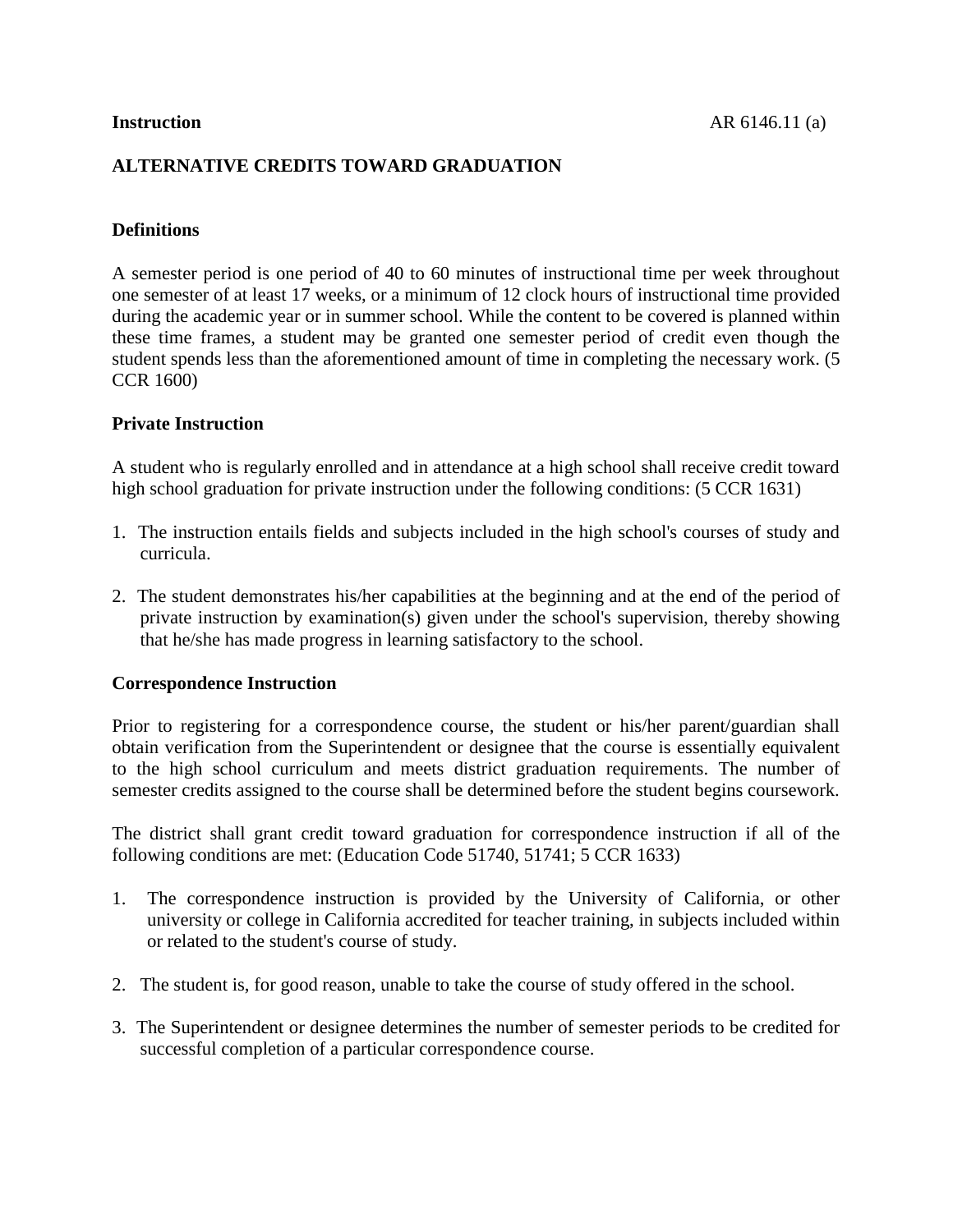## **ALTERNATIVE CREDITS TOWARD GRADUATION**

## **Definitions**

A semester period is one period of 40 to 60 minutes of instructional time per week throughout one semester of at least 17 weeks, or a minimum of 12 clock hours of instructional time provided during the academic year or in summer school. While the content to be covered is planned within these time frames, a student may be granted one semester period of credit even though the student spends less than the aforementioned amount of time in completing the necessary work. (5 CCR [1600\)](http://www.gamutonline.net/displayPolicy/186872/6)

## **Private Instruction**

A student who is regularly enrolled and in attendance at a high school shall receive credit toward high school graduation for private instruction under the following conditions: (5 CCR [1631\)](http://www.gamutonline.net/displayPolicy/186874/6)

- 1. The instruction entails fields and subjects included in the high school's courses of study and curricula.
- 2. The student demonstrates his/her capabilities at the beginning and at the end of the period of private instruction by examination(s) given under the school's supervision, thereby showing that he/she has made progress in learning satisfactory to the school.

## **Correspondence Instruction**

Prior to registering for a correspondence course, the student or his/her parent/guardian shall obtain verification from the Superintendent or designee that the course is essentially equivalent to the high school curriculum and meets district graduation requirements. The number of semester credits assigned to the course shall be determined before the student begins coursework.

The district shall grant credit toward graduation for correspondence instruction if all of the following conditions are met: (Education Code [51740,](http://www.gamutonline.net/displayPolicy/132739/6) [51741;](http://www.gamutonline.net/displayPolicy/132740/6) 5 CCR [1633\)](http://www.gamutonline.net/displayPolicy/186876/6)

- 1. The correspondence instruction is provided by the University of California, or other university or college in California accredited for teacher training, in subjects included within or related to the student's course of study.
- 2. The student is, for good reason, unable to take the course of study offered in the school.
- 3. The Superintendent or designee determines the number of semester periods to be credited for successful completion of a particular correspondence course.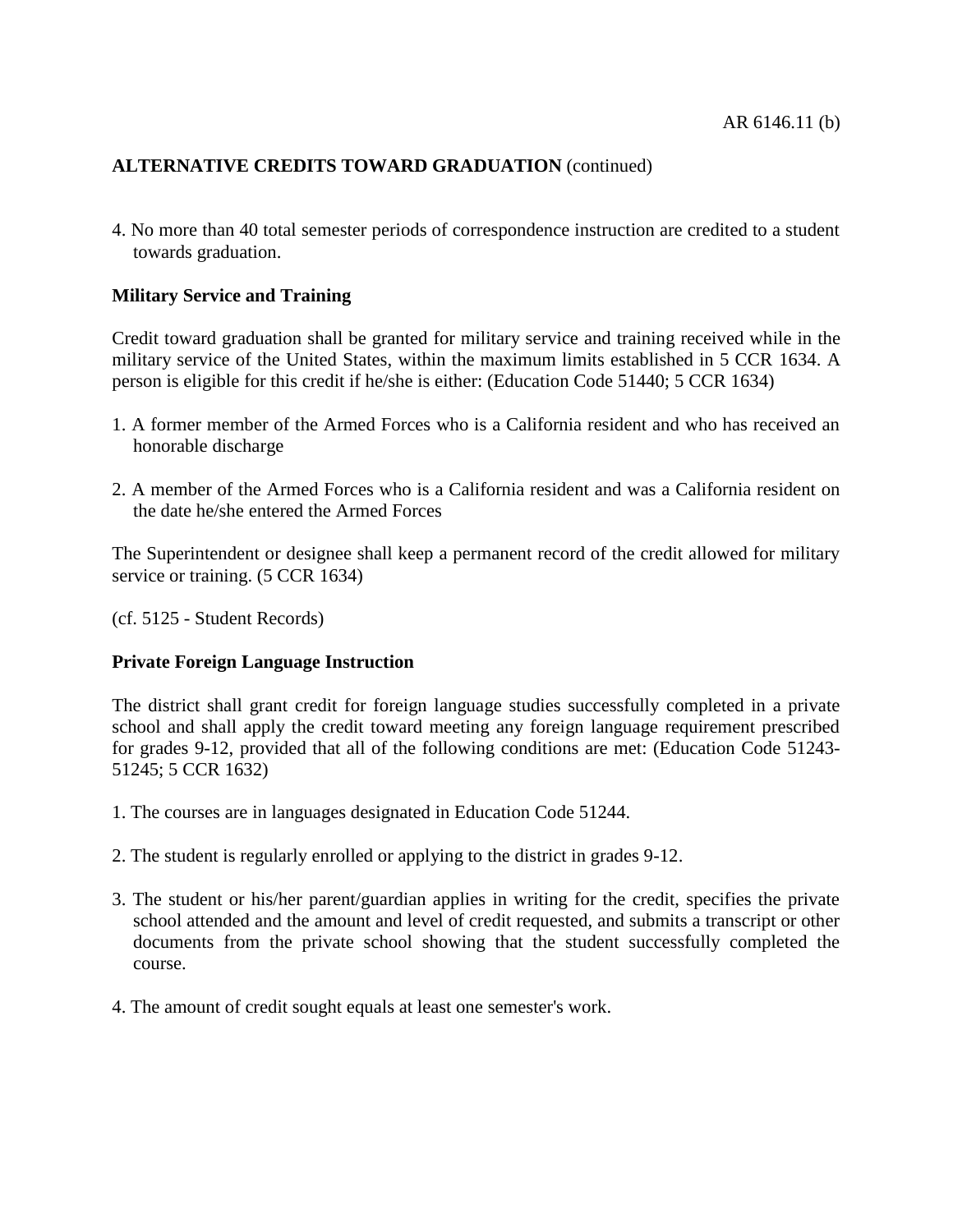4. No more than 40 total semester periods of correspondence instruction are credited to a student towards graduation.

## **Military Service and Training**

Credit toward graduation shall be granted for military service and training received while in the military service of the United States, within the maximum limits established in 5 CCR [1634.](http://www.gamutonline.net/displayPolicy/186877/6) A person is eligible for this credit if he/she is either: (Education Code [51440;](http://www.gamutonline.net/displayPolicy/132717/6) 5 CCR [1634\)](http://www.gamutonline.net/displayPolicy/186877/6)

- 1. A former member of the Armed Forces who is a California resident and who has received an honorable discharge
- 2. A member of the Armed Forces who is a California resident and was a California resident on the date he/she entered the Armed Forces

The Superintendent or designee shall keep a permanent record of the credit allowed for military service or training. (5 CCR [1634\)](http://www.gamutonline.net/displayPolicy/186877/6)

(cf. [5125](http://www.gamutonline.net/displayPolicy/559084/6) - Student Records)

## **Private Foreign Language Instruction**

The district shall grant credit for foreign language studies successfully completed in a private school and shall apply the credit toward meeting any foreign language requirement prescribed for grades 9-12, provided that all of the following conditions are met: (Education Code [51243-](http://www.gamutonline.net/displayPolicy/132688/6) [51245;](http://www.gamutonline.net/displayPolicy/132690/6) 5 CCR [1632\)](http://www.gamutonline.net/displayPolicy/186875/6)

- 1. The courses are in languages designated in Education Code [51244.](http://www.gamutonline.net/displayPolicy/132689/6)
- 2. The student is regularly enrolled or applying to the district in grades 9-12.
- 3. The student or his/her parent/guardian applies in writing for the credit, specifies the private school attended and the amount and level of credit requested, and submits a transcript or other documents from the private school showing that the student successfully completed the course.
- 4. The amount of credit sought equals at least one semester's work.